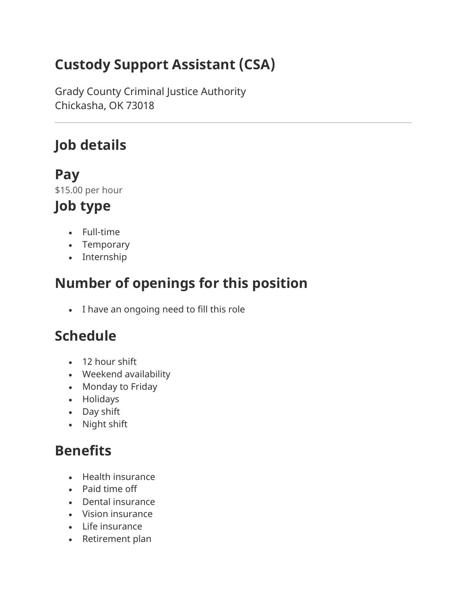# **Custody Support Assistant (CSA)**

Grady County Criminal Justice Authority Chickasha, OK 73018

## **Job details**

### **Pay**

\$15.00 per hour

## **Job type**

- Full-time
- Temporary
- Internship

## **Number of openings for this position**

• I have an ongoing need to fill this role

# **Schedule**

- 12 hour shift
- Weekend availability
- Monday to Friday
- Holidays
- Day shift
- Night shift

## **Benefits**

- Health insurance
- Paid time off
- Dental insurance
- Vision insurance
- Life insurance
- Retirement plan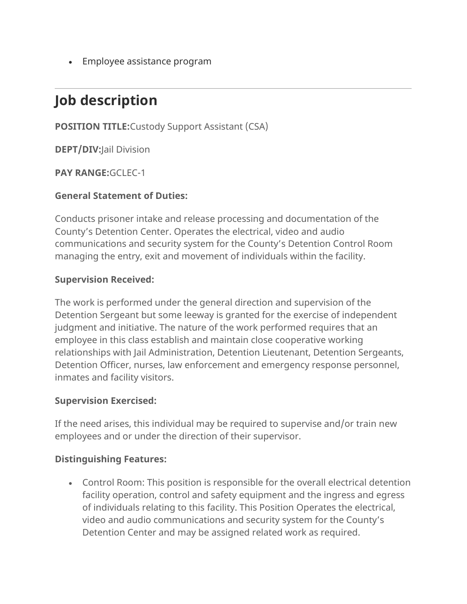• Employee assistance program

# **Job description**

**POSITION TITLE:**Custody Support Assistant (CSA)

**DEPT/DIV:**Jail Division

**PAY RANGE:**GCLEC-1

### **General Statement of Duties:**

Conducts prisoner intake and release processing and documentation of the County's Detention Center. Operates the electrical, video and audio communications and security system for the County's Detention Control Room managing the entry, exit and movement of individuals within the facility.

#### **Supervision Received:**

The work is performed under the general direction and supervision of the Detention Sergeant but some leeway is granted for the exercise of independent judgment and initiative. The nature of the work performed requires that an employee in this class establish and maintain close cooperative working relationships with Jail Administration, Detention Lieutenant, Detention Sergeants, Detention Officer, nurses, law enforcement and emergency response personnel, inmates and facility visitors.

#### **Supervision Exercised:**

If the need arises, this individual may be required to supervise and/or train new employees and or under the direction of their supervisor.

#### **Distinguishing Features:**

• Control Room: This position is responsible for the overall electrical detention facility operation, control and safety equipment and the ingress and egress of individuals relating to this facility. This Position Operates the electrical, video and audio communications and security system for the County's Detention Center and may be assigned related work as required.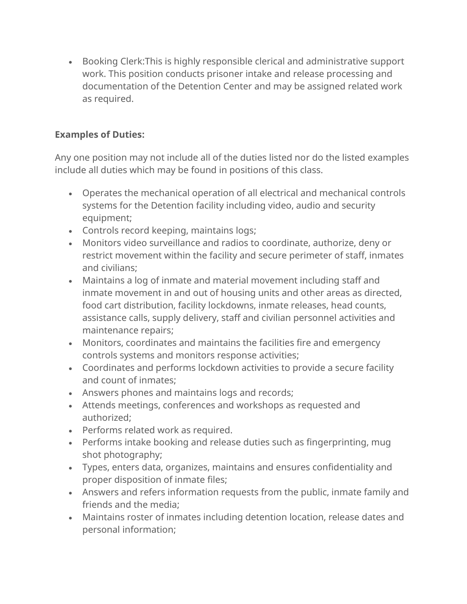• Booking Clerk:This is highly responsible clerical and administrative support work. This position conducts prisoner intake and release processing and documentation of the Detention Center and may be assigned related work as required.

### **Examples of Duties:**

Any one position may not include all of the duties listed nor do the listed examples include all duties which may be found in positions of this class.

- Operates the mechanical operation of all electrical and mechanical controls systems for the Detention facility including video, audio and security equipment;
- Controls record keeping, maintains logs;
- Monitors video surveillance and radios to coordinate, authorize, deny or restrict movement within the facility and secure perimeter of staff, inmates and civilians;
- Maintains a log of inmate and material movement including staff and inmate movement in and out of housing units and other areas as directed, food cart distribution, facility lockdowns, inmate releases, head counts, assistance calls, supply delivery, staff and civilian personnel activities and maintenance repairs;
- Monitors, coordinates and maintains the facilities fire and emergency controls systems and monitors response activities;
- Coordinates and performs lockdown activities to provide a secure facility and count of inmates;
- Answers phones and maintains logs and records;
- Attends meetings, conferences and workshops as requested and authorized;
- Performs related work as required.
- Performs intake booking and release duties such as fingerprinting, mug shot photography;
- Types, enters data, organizes, maintains and ensures confidentiality and proper disposition of inmate files;
- Answers and refers information requests from the public, inmate family and friends and the media;
- Maintains roster of inmates including detention location, release dates and personal information;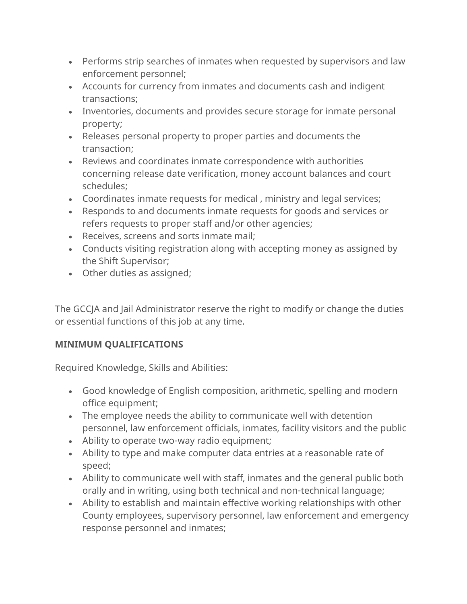- Performs strip searches of inmates when requested by supervisors and law enforcement personnel;
- Accounts for currency from inmates and documents cash and indigent transactions;
- Inventories, documents and provides secure storage for inmate personal property;
- Releases personal property to proper parties and documents the transaction;
- Reviews and coordinates inmate correspondence with authorities concerning release date verification, money account balances and court schedules;
- Coordinates inmate requests for medical , ministry and legal services;
- Responds to and documents inmate requests for goods and services or refers requests to proper staff and/or other agencies;
- Receives, screens and sorts inmate mail;
- Conducts visiting registration along with accepting money as assigned by the Shift Supervisor;
- Other duties as assigned;

The GCCJA and Jail Administrator reserve the right to modify or change the duties or essential functions of this job at any time.

### **MINIMUM QUALIFICATIONS**

Required Knowledge, Skills and Abilities:

- Good knowledge of English composition, arithmetic, spelling and modern office equipment;
- The employee needs the ability to communicate well with detention personnel, law enforcement officials, inmates, facility visitors and the public
- Ability to operate two-way radio equipment;
- Ability to type and make computer data entries at a reasonable rate of speed;
- Ability to communicate well with staff, inmates and the general public both orally and in writing, using both technical and non-technical language;
- Ability to establish and maintain effective working relationships with other County employees, supervisory personnel, law enforcement and emergency response personnel and inmates;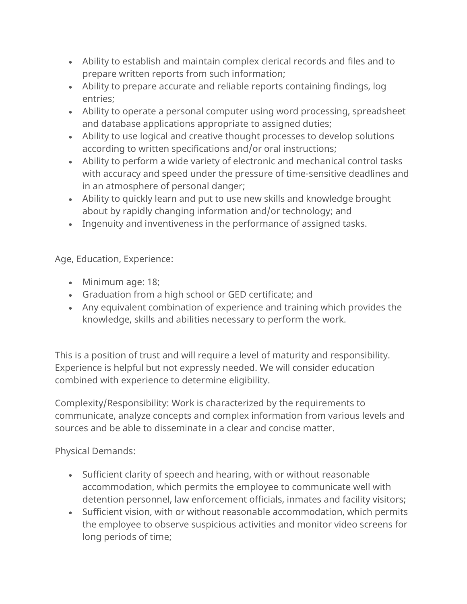- Ability to establish and maintain complex clerical records and files and to prepare written reports from such information;
- Ability to prepare accurate and reliable reports containing findings, log entries;
- Ability to operate a personal computer using word processing, spreadsheet and database applications appropriate to assigned duties;
- Ability to use logical and creative thought processes to develop solutions according to written specifications and/or oral instructions;
- Ability to perform a wide variety of electronic and mechanical control tasks with accuracy and speed under the pressure of time-sensitive deadlines and in an atmosphere of personal danger;
- Ability to quickly learn and put to use new skills and knowledge brought about by rapidly changing information and/or technology; and
- Ingenuity and inventiveness in the performance of assigned tasks.

Age, Education, Experience:

- Minimum age: 18;
- Graduation from a high school or GED certificate; and
- Any equivalent combination of experience and training which provides the knowledge, skills and abilities necessary to perform the work.

This is a position of trust and will require a level of maturity and responsibility. Experience is helpful but not expressly needed. We will consider education combined with experience to determine eligibility.

Complexity/Responsibility: Work is characterized by the requirements to communicate, analyze concepts and complex information from various levels and sources and be able to disseminate in a clear and concise matter.

Physical Demands:

- Sufficient clarity of speech and hearing, with or without reasonable accommodation, which permits the employee to communicate well with detention personnel, law enforcement officials, inmates and facility visitors;
- Sufficient vision, with or without reasonable accommodation, which permits the employee to observe suspicious activities and monitor video screens for long periods of time;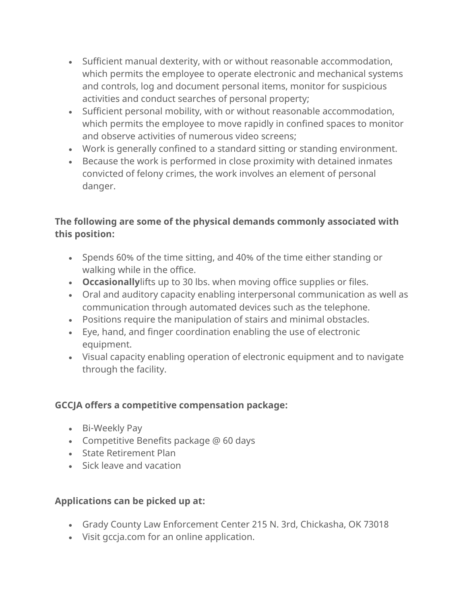- Sufficient manual dexterity, with or without reasonable accommodation, which permits the employee to operate electronic and mechanical systems and controls, log and document personal items, monitor for suspicious activities and conduct searches of personal property;
- Sufficient personal mobility, with or without reasonable accommodation, which permits the employee to move rapidly in confined spaces to monitor and observe activities of numerous video screens;
- Work is generally confined to a standard sitting or standing environment.
- Because the work is performed in close proximity with detained inmates convicted of felony crimes, the work involves an element of personal danger.

### **The following are some of the physical demands commonly associated with this position:**

- Spends 60% of the time sitting, and 40% of the time either standing or walking while in the office.
- **Occasionally**lifts up to 30 lbs. when moving office supplies or files.
- Oral and auditory capacity enabling interpersonal communication as well as communication through automated devices such as the telephone.
- Positions require the manipulation of stairs and minimal obstacles.
- Eye, hand, and finger coordination enabling the use of electronic equipment.
- Visual capacity enabling operation of electronic equipment and to navigate through the facility.

### **GCCJA offers a competitive compensation package:**

- Bi-Weekly Pay
- Competitive Benefits package @ 60 days
- State Retirement Plan
- Sick leave and vacation

### **Applications can be picked up at:**

- Grady County Law Enforcement Center 215 N. 3rd, Chickasha, OK 73018
- Visit gccja.com for an online application.